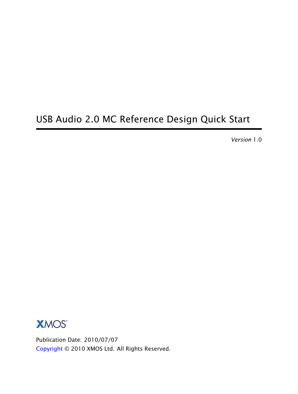# USB Audio 2.0 MC Reference Design Quick Start

*Version* 1.0



Publication Date: 2010/07/07 [Copyright](#page-5-0) © 2010 XMOS Ltd. All Rights Reserved.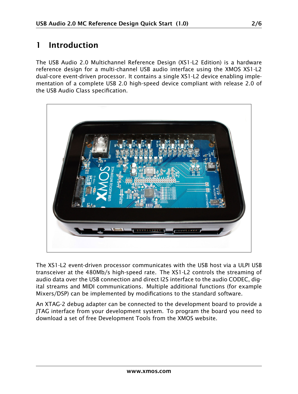# 1 Introduction

The USB Audio 2.0 Multichannel Reference Design (XS1-L2 Edition) is a hardware reference design for a multi-channel USB audio interface using the XMOS XS1-L2 dual-core event-driven processor. It contains a single XS1-L2 device enabling implementation of a complete USB 2.0 high-speed device compliant with release 2.0 of the USB Audio Class specification.



The XS1-L2 event-driven processor communicates with the USB host via a ULPI USB transceiver at the 480Mb/s high-speed rate. The XS1-L2 controls the streaming of audio data over the USB connection and direct I2S interface to the audio CODEC, digital streams and MIDI communications. Multiple additional functions (for example Mixers/DSP) can be implemented by modifications to the standard software.

An XTAG-2 debug adapter can be connected to the development board to provide a JTAG interface from your development system. To program the board you need to download a set of free Development Tools from the XMOS website.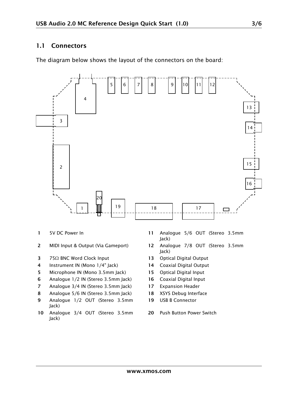#### 1.1 Connectors

The diagram below shows the layout of the connectors on the board:



- 
- 
- 3 75Ω BNC Word Clock Input 13 Optical Digital Output 13 Optical Digital Output 14 Coaxial Digital Output
- Instrument IN (Mono 1/4" Jack)
- 5 Microphone IN (Mono 3.5mm Jack) 15 Optical Digital Input
- 6 Analogue 1/2 IN (Stereo 3.5mm Jack) 16 Coaxial Digital Input
- 7 Analogue 3/4 IN (Stereo 3.5mm Jack) 17 Expansion Header
- 8 Analogue 5/6 IN (Stereo 3.5mm Jack) 18 XSYS Debug Interface
- 9 Analogue 1/2 OUT (Stereo 3.5mm Jack)
- 10 Analogue 3/4 OUT (Stereo 3.5mm Jack)
- 1 5V DC Power In 11 Analogue 5/6 OUT (Stereo 3.5mm Jack)
- 2 MIDI Input & Output (Via Gameport) 12 Analogue 7/8 OUT (Stereo 3.5mm Jack)
	-
	-
	-
	-
	-
	-
	- 19 USB B Connector
	- 20 Push Button Power Switch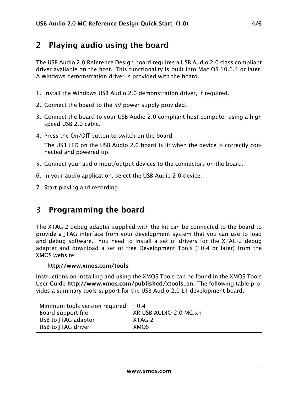## 2 Playing audio using the board

The USB Audio 2.0 Reference Design board requires a USB Audio 2.0 class compliant driver available on the host. This functionality is built into Mac OS 10.6.4 or later. A Windows demonstration driver is provided with the board.

- 1. Install the Windows USB Audio 2.0 demonstration driver, if required.
- 2. Connect the board to the 5V power supply provided.
- 3. Connect the board to your USB Audio 2.0 compliant host computer using a high speed USB 2.0 cable.
- 4. Press the On/Off button to switch on the board. The USB LED on the USB Audio 2.0 board is lit when the device is correctly connected and powered up.
- 5. Connect your audio input/output devices to the connectors on the board.
- 6. In your audio application, select the USB Audio 2.0 device.
- 7. Start playing and recording.

## 3 Programming the board

The XTAG-2 debug adapter supplied with the kit can be connected to the board to provide a JTAG interface from your development system that you can use to load and debug software. You need to install a set of drivers for the XTAG-2 debug adapter and download a set of free Development Tools (10.4 or later) from the XMOS website:

#### http://www.xmos.com/tools

Instructions on installing and using the XMOS Tools can be found in the XMOS Tools User Guide http://www.xmos.com/published/xtools\_en. The following table provides a summary tools support for the USB Audio 2.0 L1 development board.

| Minimum tools version required | 10.4                   |
|--------------------------------|------------------------|
| Board support file             | XR-USB-AUDIO-2.0-MC.xn |
| USB-to-JTAG adaptor            | XTAG-2                 |
| USB-to-JTAG driver             | <b>XMOS</b>            |
|                                |                        |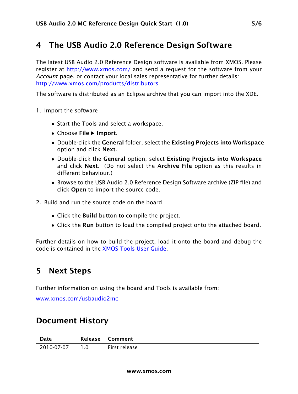### 4 The USB Audio 2.0 Reference Design Software

The latest USB Audio 2.0 Reference Design software is available from XMOS. Please register at <http://www.xmos.com/> and send a request for the software from your *Account* page, or contact your local sales representative for further details: <http://www.xmos.com/products/distributors>

The software is distributed as an Eclipse archive that you can import into the XDE.

- 1. Import the software
	- Start the Tools and select a workspace.
	- Choose File > Import.
	- Double-click the General folder, select the Existing Projects into Workspace option and click Next.
	- Double-click the General option, select Existing Projects into Workspace and click Next. (Do not select the Archive File option as this results in different behaviour.)
	- Browse to the USB Audio 2.0 Reference Design Software archive (ZIP file) and click Open to import the source code.
- 2. Build and run the source code on the board
	- Click the Build button to compile the project.
	- Click the Run button to load the compiled project onto the attached board.

Further details on how to build the project, load it onto the board and debug the code is contained in the [XMOS Tools User Guide.](http://xmos.com/published/xtools_en)

# 5 Next Steps

Further information on using the board and Tools is available from:

[www.xmos.com/usbaudio2mc](http://www.xmos.com/usbaudio2mc)

## Document History

| Date       | Release | Comment       |
|------------|---------|---------------|
| 2010-07-07 |         | First release |